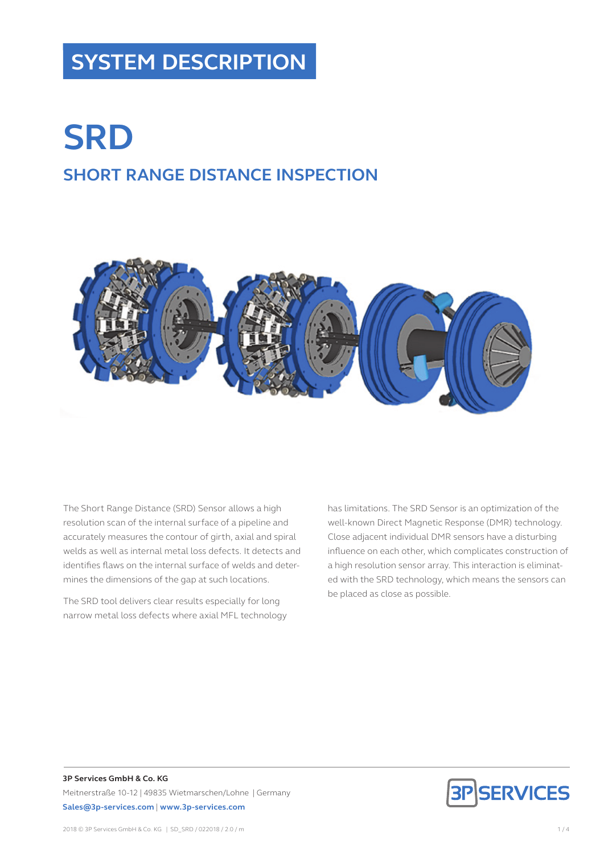# **SYSTEM DESCRIPTION**

# **SRD SHORT RANGE DISTANCE INSPECTION**



The Short Range Distance (SRD) Sensor allows a high resolution scan of the internal surface of a pipeline and accurately measures the contour of girth, axial and spiral welds as well as internal metal loss defects. It detects and identifies flaws on the internal surface of welds and determines the dimensions of the gap at such locations.

The SRD tool delivers clear results especially for long narrow metal loss defects where axial MFL technology has limitations. The SRD Sensor is an optimization of the well-known Direct Magnetic Response (DMR) technology. Close adjacent individual DMR sensors have a disturbing influence on each other, which complicates construction of a high resolution sensor array. This interaction is eliminated with the SRD technology, which means the sensors can be placed as close as possible.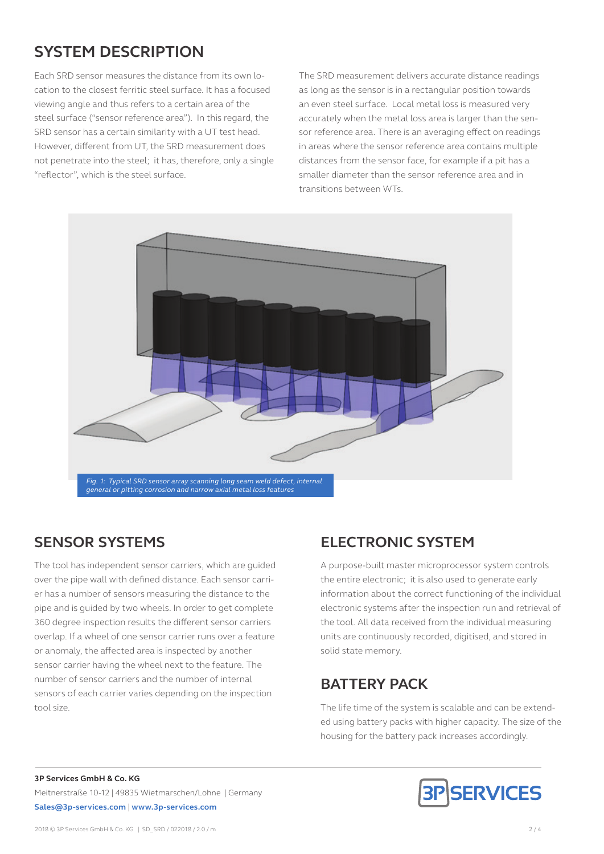# **SYSTEM DESCRIPTION**

Each SRD sensor measures the distance from its own location to the closest ferritic steel surface. It has a focused viewing angle and thus refers to a certain area of the steel surface ("sensor reference area"). In this regard, the SRD sensor has a certain similarity with a UT test head. However, different from UT, the SRD measurement does not penetrate into the steel; it has, therefore, only a single "reflector", which is the steel surface.

The SRD measurement delivers accurate distance readings as long as the sensor is in a rectangular position towards an even steel surface. Local metal loss is measured very accurately when the metal loss area is larger than the sensor reference area. There is an averaging effect on readings in areas where the sensor reference area contains multiple distances from the sensor face, for example if a pit has a smaller diameter than the sensor reference area and in transitions between WTs.



The tool has independent sensor carriers, which are guided over the pipe wall with defined distance. Each sensor carrier has a number of sensors measuring the distance to the pipe and is guided by two wheels. In order to get complete 360 degree inspection results the different sensor carriers overlap. If a wheel of one sensor carrier runs over a feature or anomaly, the affected area is inspected by another sensor carrier having the wheel next to the feature. The number of sensor carriers and the number of internal sensors of each carrier varies depending on the inspection tool size.

# **SENSOR SYSTEMS ELECTRONIC SYSTEM**

A purpose-built master microprocessor system controls the entire electronic; it is also used to generate early information about the correct functioning of the individual electronic systems after the inspection run and retrieval of the tool. All data received from the individual measuring units are continuously recorded, digitised, and stored in solid state memory.

## **BATTERY PACK**

The life time of the system is scalable and can be extended using battery packs with higher capacity. The size of the housing for the battery pack increases accordingly.

#### **3P Services GmbH & Co. KG** Meitnerstraße 10-12 | 49835 Wietmarschen/Lohne | Germany **Sales@3p-services.com** | **www.3p-services.com**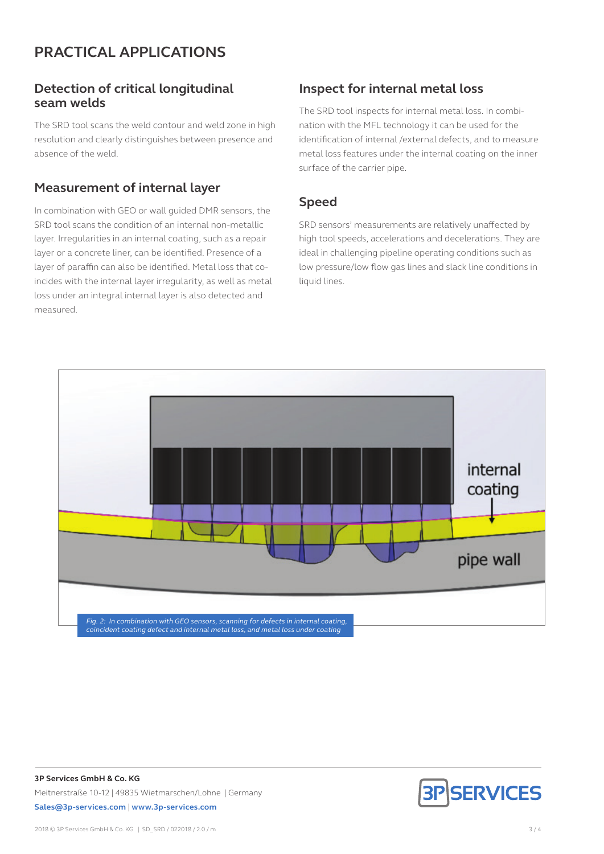## **PRACTICAL APPLICATIONS**

#### **Detection of critical longitudinal seam welds**

The SRD tool scans the weld contour and weld zone in high resolution and clearly distinguishes between presence and absence of the weld.

#### **Measurement of internal layer**

In combination with GEO or wall guided DMR sensors, the SRD tool scans the condition of an internal non-metallic layer. Irregularities in an internal coating, such as a repair layer or a concrete liner, can be identified. Presence of a layer of paraffin can also be identified. Metal loss that coincides with the internal layer irregularity, as well as metal loss under an integral internal layer is also detected and measured.

#### **Inspect for internal metal loss**

The SRD tool inspects for internal metal loss. In combination with the MFL technology it can be used for the identification of internal /external defects, and to measure metal loss features under the internal coating on the inner surface of the carrier pipe.

#### **Speed**

SRD sensors' measurements are relatively unaffected by high tool speeds, accelerations and decelerations. They are ideal in challenging pipeline operating conditions such as low pressure/low flow gas lines and slack line conditions in liquid lines.